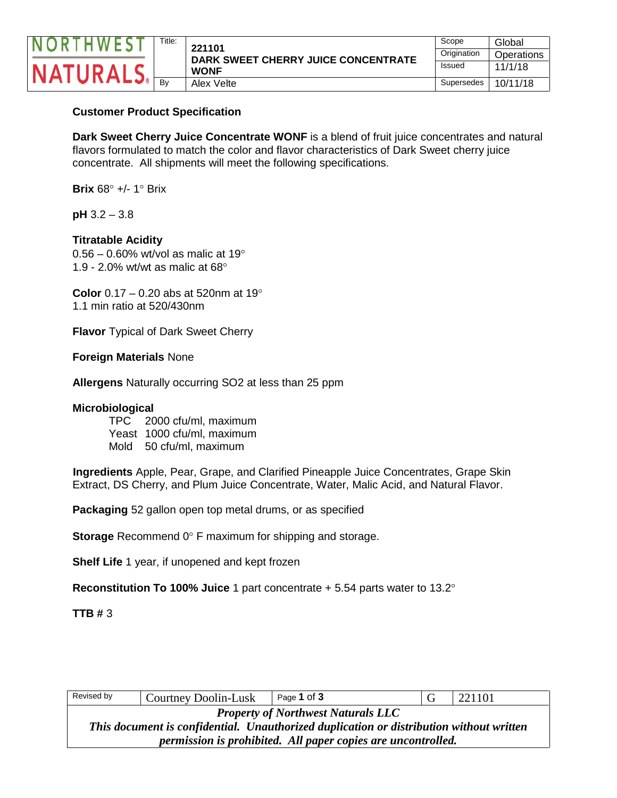

| Scope       | Global     |
|-------------|------------|
| Origination | Operations |
| Issued      | 11/1/18    |
| Supersedes  | 10/11/18   |

## **Customer Product Specification**

**Dark Sweet Cherry Juice Concentrate WONF** is a blend of fruit juice concentrates and natural flavors formulated to match the color and flavor characteristics of Dark Sweet cherry juice concentrate. All shipments will meet the following specifications.

**Brix**  $68^\circ$  +/- 1 $^\circ$  Brix

**pH** 3.2 – 3.8

## **Titratable Acidity**

 $0.56 - 0.60\%$  wt/vol as malic at 19 $^{\circ}$ 1.9 - 2.0% wt/wt as malic at  $68^{\circ}$ 

**Color** 0.17 – 0.20 abs at 520nm at 19 1.1 min ratio at 520/430nm

**Flavor** Typical of Dark Sweet Cherry

## **Foreign Materials** None

**Allergens** Naturally occurring SO2 at less than 25 ppm

#### **Microbiological**

TPC 2000 cfu/ml, maximum Yeast 1000 cfu/ml, maximum Mold 50 cfu/ml, maximum

**Ingredients** Apple, Pear, Grape, and Clarified Pineapple Juice Concentrates, Grape Skin Extract, DS Cherry, and Plum Juice Concentrate, Water, Malic Acid, and Natural Flavor.

**Packaging** 52 gallon open top metal drums, or as specified

**Storage** Recommend 0° F maximum for shipping and storage.

**Shelf Life** 1 year, if unopened and kept frozen

**Reconstitution To 100% Juice** 1 part concentrate + 5.54 parts water to 13.2

**TTB #** 3

| Revised by                                                                              | Courtney Doolin-Lusk | Page 1 of 3 |  | 221101 |  |
|-----------------------------------------------------------------------------------------|----------------------|-------------|--|--------|--|
| <b>Property of Northwest Naturals LLC</b>                                               |                      |             |  |        |  |
| This document is confidential. Unauthorized duplication or distribution without written |                      |             |  |        |  |
| permission is prohibited. All paper copies are uncontrolled.                            |                      |             |  |        |  |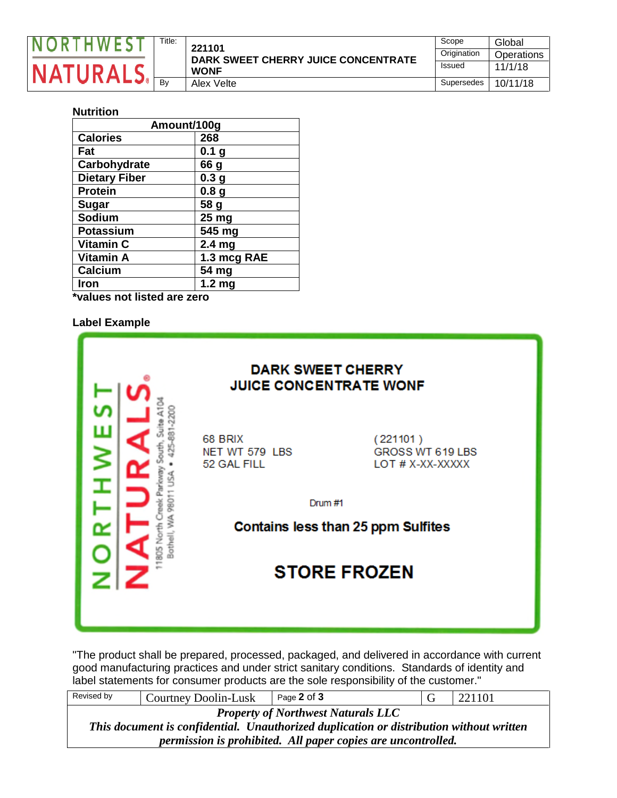

| Title: | 221101                              | Scope         | Global     |
|--------|-------------------------------------|---------------|------------|
|        | DARK SWEET CHERRY JUICE CONCENTRATE | Origination   | Operations |
|        | <b>WONF</b>                         | <b>Issued</b> | 11/1/18    |
| Bv     | Alex Velte                          | Supersedes    | 10/11/18   |

## **Nutrition**

| Amount/100g          |                   |  |
|----------------------|-------------------|--|
| <b>Calories</b>      | 268               |  |
| Fat                  | 0.1 <sub>g</sub>  |  |
| Carbohydrate         | 66 g              |  |
| <b>Dietary Fiber</b> | 0.3 <sub>g</sub>  |  |
| <b>Protein</b>       | 0.8 <sub>g</sub>  |  |
| <b>Sugar</b>         | 58 g              |  |
| Sodium               | 25 <sub>mg</sub>  |  |
| Potassium            | 545 mg            |  |
| <b>Vitamin C</b>     | 2.4 <sub>mg</sub> |  |
| <b>Vitamin A</b>     | 1.3 mcg RAE       |  |
| Calcium              | 54 mg             |  |
| Iron                 | 1.2 <sub>mg</sub> |  |

**\*values not listed are zero**

### **Label Example**

| <b>DARK SWEET CHERRY</b><br><b>JUICE CONCENTRATE WONF</b> |                                                  |
|-----------------------------------------------------------|--------------------------------------------------|
| 68 BRIX<br>NET WT 579 LBS<br>52 GAL FILL                  | (221101)<br>GROSS WT 619 LBS<br>LOT # X-XX-XXXXX |
| Drum #1                                                   | <b>Contains less than 25 ppm Sulfites</b>        |
|                                                           | <b>STORE FROZEN</b>                              |

"The product shall be prepared, processed, packaged, and delivered in accordance with current good manufacturing practices and under strict sanitary conditions. Standards of identity and label statements for consumer products are the sole responsibility of the customer."

| Revised by                                                                              | Courtney Doolin-Lusk | Page 2 of 3 |  | 221101 |  |
|-----------------------------------------------------------------------------------------|----------------------|-------------|--|--------|--|
| <b>Property of Northwest Naturals LLC</b>                                               |                      |             |  |        |  |
| This document is confidential. Unauthorized duplication or distribution without written |                      |             |  |        |  |
| permission is prohibited. All paper copies are uncontrolled.                            |                      |             |  |        |  |